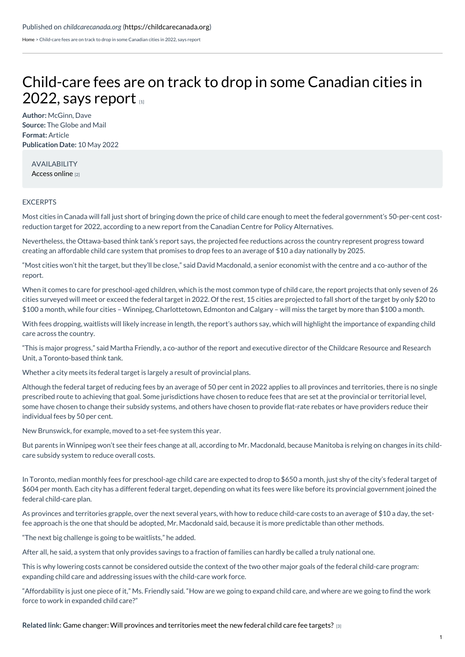[Home](https://childcarecanada.org/) > Child-care fees are on track to drop in some Canadian cities in 2022, says report

## [Child-care](https://childcarecanada.org/documents/child-care-news/22/05/child-care-fees-are-track-drop-some-canadian-cities-2022-says-report) fees are on track to drop in some Canadian cities in 2022, says report  $\alpha$

**Author:** McGinn, Dave **Source:** The Globe and Mail **Format:** Article **Publication Date:** 10 May 2022

AVAILABILITY [Access](https://www.theglobeandmail.com/canada/article-child-care-fees-are-on-track-to-drop-in-some-canadian-cities-in-2022//) online [2]

## **EXCERPTS**

Most cities in Canada will fall just short of bringing down the price of child care enough to meet the federal government's 50-per-cent costreduction target for 2022, according to a new report from the Canadian Centre for Policy Alternatives.

Nevertheless, the Ottawa-based think tank's report says, the projected fee reductions across the country represent progress toward creating an affordable child care system that promises to drop fees to an average of \$10 a day nationally by 2025.

"Most cities won't hit the target, but they'll be close," said David Macdonald, a senior economist with the centre and a co-author of the report.

When it comes to care for preschool-aged children, which is the most common type of child care, the report projects that only seven of 26 cities surveyed will meet or exceed the federal target in 2022. Of the rest, 15 cities are projected to fall short of the target by only \$20 to \$100 a month, while four cities – Winnipeg, Charlottetown, Edmonton and Calgary – will miss the target by more than \$100 a month.

With fees dropping, waitlists will likely increase in length, the report's authors say, which will highlight the importance of expanding child care across the country.

"This is major progress," said Martha Friendly, a co-author of the report and executive director of the Childcare Resource and Research Unit, a Toronto-based think tank.

Whether a city meets its federal target is largely a result of provincial plans.

Although the federal target of reducing fees by an average of 50 per cent in 2022 applies to all provinces and territories, there is no single prescribed route to achieving that goal. Some jurisdictions have chosen to reduce fees that are set at the provincial or territorial level, some have chosen to change their subsidy systems, and others have chosen to provide flat-rate rebates or have providers reduce their individual fees by 50 per cent.

New Brunswick, for example, moved to a set-fee system this year.

But parents in Winnipeg won't see their fees change at all, according to Mr. Macdonald, because Manitoba is relying on changes in its childcare subsidy system to reduce overall costs.

In Toronto, median monthly fees for preschool-age child care are expected to drop to \$650 a month, just shy of the city's federal target of \$604 per month. Each city has a different federal target, depending on what its fees were like before its provincial government joined the federal child-care plan.

As provinces and territories grapple, over the next several years, with how to reduce child-care costs to an average of \$10 a day, the setfee approach is the one that should be adopted, Mr. Macdonald said, because it is more predictable than other methods.

"The next big challenge is going to be waitlists," he added.

After all, he said, a system that only provides savings to a fraction of families can hardly be called a truly national one.

This is why lowering costs cannot be considered outside the context of the two other major goals of the federal child-care program: expanding child care and addressing issues with the child-care work force.

"Affordability is just one piece of it," Ms. Friendly said. "How are we going to expand child care, and where are we going to find the work force to work in expanded child care?"

**Related link:** Game changer: Will provinces and [territories](https://childcarecanada.org/documents/research-policy-practice/22/05/game-changer-will-provinces-and-territories-meet-new) meet the new federal child care fee targets? [3]